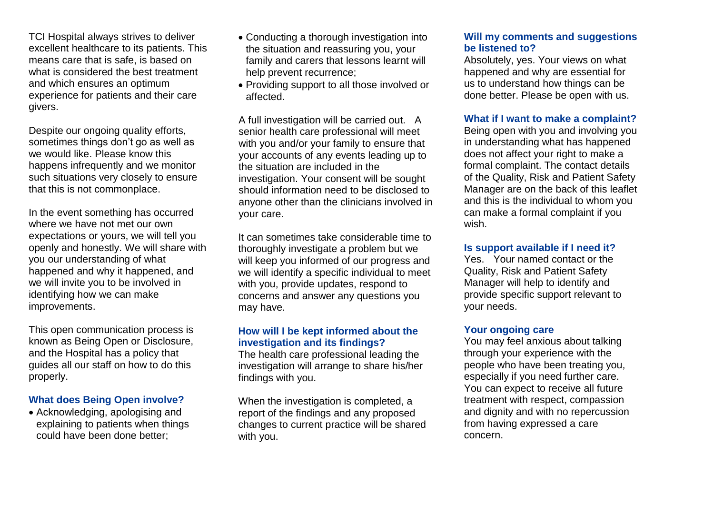TCI Hospital always strives to deliver excellent healthcare to its patients. This means care that is safe, is based on what is considered the best treatment and which ensures an optimum experience for patients and their care givers.

Despite our ongoing quality efforts, sometimes things don't go as well as we would like. Please know this happens infrequently and we monitor such situations very closely to ensure that this is not commonplace.

In the event something has occurred where we have not met our own expectations or yours, we will tell you openly and honestly. We will share with you our understanding of what happened and why it happened, and we will invite you to be involved in identifying how we can make improvements.

This open communication process is known as Being Open or Disclosure, and the Hospital has a policy that guides all our staff on how to do this properly.

# **What does Being Open involve?**

• Acknowledging, apologising and explaining to patients when things could have been done better;

- Conducting a thorough investigation into the situation and reassuring you, your family and carers that lessons learnt will help prevent recurrence;
- Providing support to all those involved or affected.

A full investigation will be carried out. A senior health care professional will meet with you and/or your family to ensure that your accounts of any events leading up to the situation are included in the investigation. Your consent will be sought should information need to be disclosed to anyone other than the clinicians involved in your care.

It can sometimes take considerable time to thoroughly investigate a problem but we will keep you informed of our progress and we will identify a specific individual to meet with you, provide updates, respond to concerns and answer any questions you may have.

# **How will I be kept informed about the investigation and its findings?**

The health care professional leading the investigation will arrange to share his/her findings with you.

When the investigation is completed, a report of the findings and any proposed changes to current practice will be shared with you.

### **Will my comments and suggestions be listened to?**

Absolutely, yes. Your views on what happened and why are essential for us to understand how things can be done better. Please be open with us.

## **What if I want to make a complaint?**

Being open with you and involving you in understanding what has happened does not affect your right to make a formal complaint. The contact details of the Quality, Risk and Patient Safety Manager are on the back of this leaflet and this is the individual to whom you can make a formal complaint if you wish.

### **Is support available if I need it?**

Yes. Your named contact or the Quality, Risk and Patient Safety Manager will help to identify and provide specific support relevant to your needs.

# **Your ongoing care**

You may feel anxious about talking through your experience with the people who have been treating you, especially if you need further care. You can expect to receive all future treatment with respect, compassion and dignity and with no repercussion from having expressed a care concern.